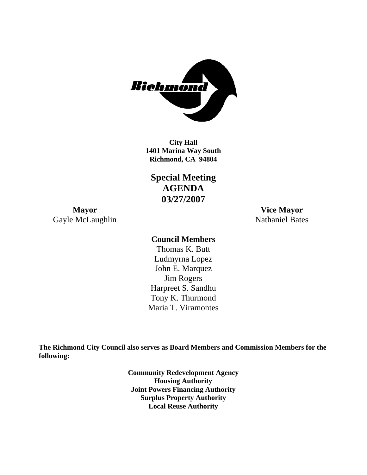

**1401 Marina Way South Richmond, CA 94804 City Hall** 

**Special Meeting AGENDA 03/27/2007** 

**Mayor Vice Mayor**  Gayle McLaughlin Nathaniel Bates

#### **Council Members**

Harpreet S. Sandhu Tony K. Thurmond Maria T. Viramontes Thomas K. Butt Ludmyrna Lopez John E. Marquez Jim Rogers

**The Richmond City Council also serves as Board Members and Commission Members for the following:** 

> **Community Redevelopment Agency Housing Authority Joint Powers Financing Authority Surplus Property Authority Local Reuse Authority**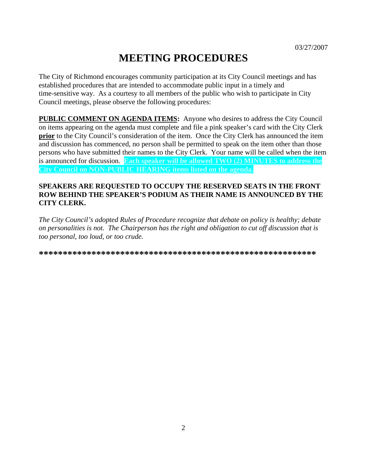# **MEETING PROCEDURES**

The City of Richmond encourages community participation at its City Council meetings and has established procedures that are intended to accommodate public input in a timely and time-sensitive way. As a courtesy to all members of the public who wish to participate in City Council meetings, please observe the following procedures:

**PUBLIC COMMENT ON AGENDA ITEMS:** Anyone who desires to address the City Council on items appearing on the agenda must complete and file a pink speaker's card with the City Clerk **prior** to the City Council's consideration of the item. Once the City Clerk has announced the item and discussion has commenced, no person shall be permitted to speak on the item other than those persons who have submitted their names to the City Clerk. Your name will be called when the item is announced for discussion. **Each speaker will be allowed TWO (2) MINUTES to address the City Council on NON-PUBLIC HEARING items listed on the agenda.** 

#### **SPEAKERS ARE REQUESTED TO OCCUPY THE RESERVED SEATS IN THE FRONT ROW BEHIND THE SPEAKER'S PODIUM AS THEIR NAME IS ANNOUNCED BY THE CITY CLERK.**

*The City Council's adopted Rules of Procedure recognize that debate on policy is healthy; debate on personalities is not. The Chairperson has the right and obligation to cut off discussion that is too personal, too loud, or too crude.* 

**\*\*\*\*\*\*\*\*\*\*\*\*\*\*\*\*\*\*\*\*\*\*\*\*\*\*\*\*\*\*\*\*\*\*\*\*\*\*\*\*\*\*\*\*\*\*\*\*\*\*\*\*\*\*\*\*\*\***